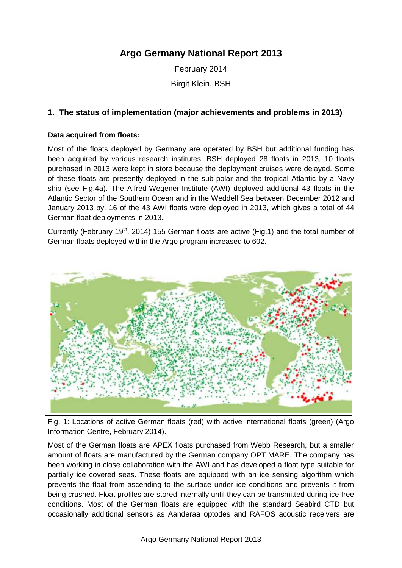# **Argo Germany National Report 2013**

February 2014 Birgit Klein, BSH

## **1. The status of implementation (major achievements and problems in 2013)**

#### **Data acquired from floats:**

Most of the floats deployed by Germany are operated by BSH but additional funding has been acquired by various research institutes. BSH deployed 28 floats in 2013, 10 floats purchased in 2013 were kept in store because the deployment cruises were delayed. Some of these floats are presently deployed in the sub-polar and the tropical Atlantic by a Navy ship (see Fig.4a). The Alfred-Wegener-Institute (AWI) deployed additional 43 floats in the Atlantic Sector of the Southern Ocean and in the Weddell Sea between December 2012 and January 2013 by. 16 of the 43 AWI floats were deployed in 2013, which gives a total of 44 German float deployments in 2013.

Currently (February 19<sup>th</sup>, 2014) 155 German floats are active (Fig.1) and the total number of German floats deployed within the Argo program increased to 602.



Fig. 1: Locations of active German floats (red) with active international floats (green) (Argo Information Centre, February 2014).

Most of the German floats are APEX floats purchased from Webb Research, but a smaller amount of floats are manufactured by the German company OPTIMARE. The company has been working in close collaboration with the AWI and has developed a float type suitable for partially ice covered seas. These floats are equipped with an ice sensing algorithm which prevents the float from ascending to the surface under ice conditions and prevents it from being crushed. Float profiles are stored internally until they can be transmitted during ice free conditions. Most of the German floats are equipped with the standard Seabird CTD but occasionally additional sensors as Aanderaa optodes and RAFOS acoustic receivers are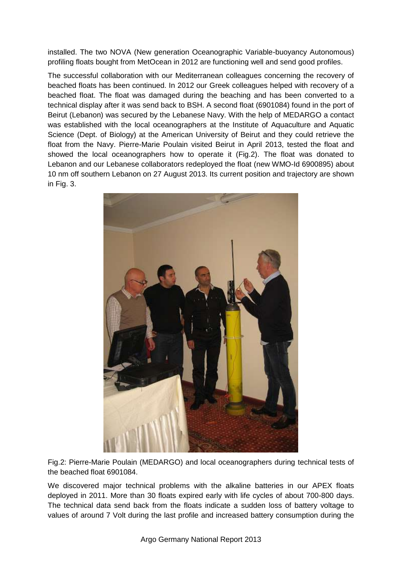installed. The two NOVA (New generation Oceanographic Variable-buoyancy Autonomous) profiling floats bought from MetOcean in 2012 are functioning well and send good profiles.

The successful collaboration with our Mediterranean colleagues concerning the recovery of beached floats has been continued. In 2012 our Greek colleagues helped with recovery of a beached float. The float was damaged during the beaching and has been converted to a technical display after it was send back to BSH. A second float (6901084) found in the port of Beirut (Lebanon) was secured by the Lebanese Navy. With the help of MEDARGO a contact was established with the local oceanographers at the Institute of Aquaculture and Aquatic Science (Dept. of Biology) at the American University of Beirut and they could retrieve the float from the Navy. Pierre-Marie Poulain visited Beirut in April 2013, tested the float and showed the local oceanographers how to operate it (Fig.2). The float was donated to Lebanon and our Lebanese collaborators redeployed the float (new WMO-Id 6900895) about 10 nm off southern Lebanon on 27 August 2013. Its current position and trajectory are shown in Fig. 3.



Fig.2: Pierre-Marie Poulain (MEDARGO) and local oceanographers during technical tests of the beached float 6901084.

We discovered major technical problems with the alkaline batteries in our APEX floats deployed in 2011. More than 30 floats expired early with life cycles of about 700-800 days. The technical data send back from the floats indicate a sudden loss of battery voltage to values of around 7 Volt during the last profile and increased battery consumption during the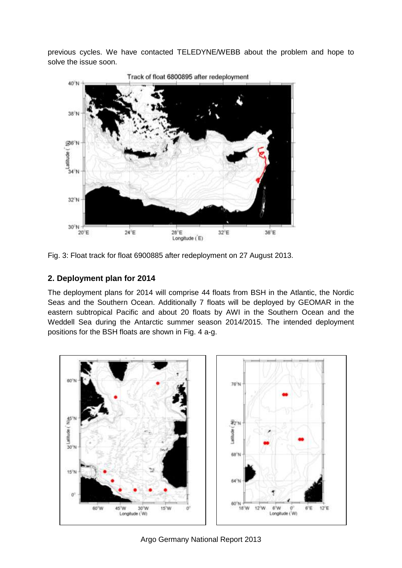previous cycles. We have contacted TELEDYNE/WEBB about the problem and hope to solve the issue soon.



Fig. 3: Float track for float 6900885 after redeployment on 27 August 2013.

# **2. Deployment plan for 2014**

The deployment plans for 2014 will comprise 44 floats from BSH in the Atlantic, the Nordic Seas and the Southern Ocean. Additionally 7 floats will be deployed by GEOMAR in the eastern subtropical Pacific and about 20 floats by AWI in the Southern Ocean and the Weddell Sea during the Antarctic summer season 2014/2015. The intended deployment positions for the BSH floats are shown in Fig. 4 a-g.



Argo Germany National Report 2013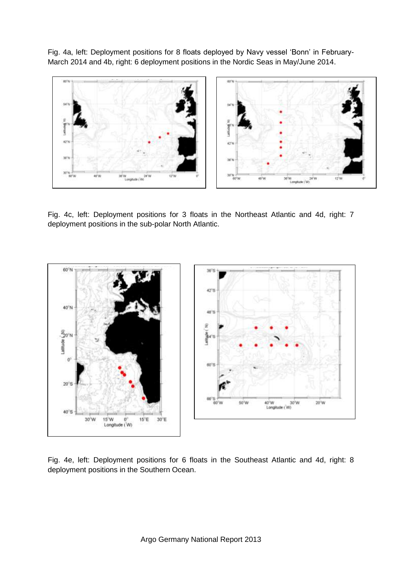Fig. 4a, left: Deployment positions for 8 floats deployed by Navy vessel 'Bonn' in February-March 2014 and 4b, right: 6 deployment positions in the Nordic Seas in May/June 2014.



Fig. 4c, left: Deployment positions for 3 floats in the Northeast Atlantic and 4d, right: 7 deployment positions in the sub-polar North Atlantic.



Fig. 4e, left: Deployment positions for 6 floats in the Southeast Atlantic and 4d, right: 8 deployment positions in the Southern Ocean.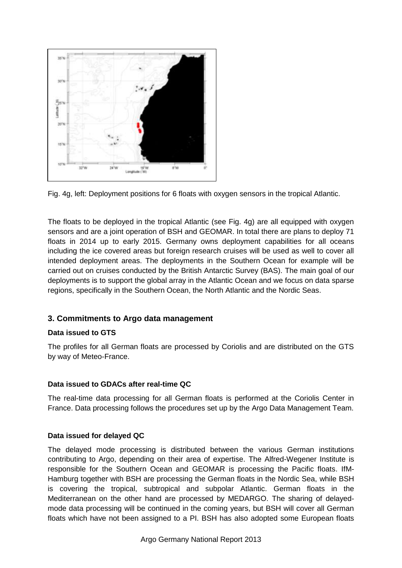



The floats to be deployed in the tropical Atlantic (see Fig. 4g) are all equipped with oxygen sensors and are a joint operation of BSH and GEOMAR. In total there are plans to deploy 71 floats in 2014 up to early 2015. Germany owns deployment capabilities for all oceans including the ice covered areas but foreign research cruises will be used as well to cover all intended deployment areas. The deployments in the Southern Ocean for example will be carried out on cruises conducted by the British Antarctic Survey (BAS). The main goal of our deployments is to support the global array in the Atlantic Ocean and we focus on data sparse regions, specifically in the Southern Ocean, the North Atlantic and the Nordic Seas.

# **3. Commitments to Argo data management**

### **Data issued to GTS**

The profiles for all German floats are processed by Coriolis and are distributed on the GTS by way of Meteo-France.

#### **Data issued to GDACs after real-time QC**

The real-time data processing for all German floats is performed at the Coriolis Center in France. Data processing follows the procedures set up by the Argo Data Management Team.

#### **Data issued for delayed QC**

The delayed mode processing is distributed between the various German institutions contributing to Argo, depending on their area of expertise. The Alfred-Wegener Institute is responsible for the Southern Ocean and GEOMAR is processing the Pacific floats. IfM-Hamburg together with BSH are processing the German floats in the Nordic Sea, while BSH is covering the tropical, subtropical and subpolar Atlantic. German floats in the Mediterranean on the other hand are processed by MEDARGO. The sharing of delayedmode data processing will be continued in the coming years, but BSH will cover all German floats which have not been assigned to a PI. BSH has also adopted some European floats